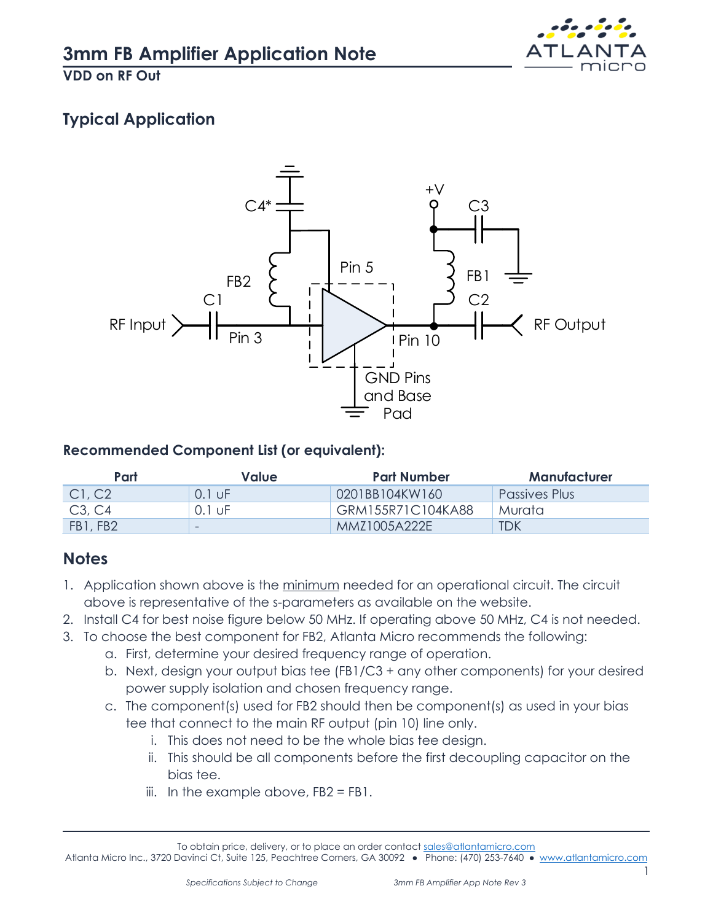

**VDD on RF Out**

# **Typical Application**



#### **Recommended Component List (or equivalent):**

| Part     | Value    | <b>Part Number</b> | Manufacturer  |
|----------|----------|--------------------|---------------|
| Cl, C2   | $0.1$ UF | 0201BB104KW160     | Passives Plus |
| C3, C4   | 0.1 uF   | GRM155R71C104KA88  | Murata        |
| FB1, FB2 | -        | MM71005A222F       | <b>TDK</b>    |

## **Notes**

- 1. Application shown above is the minimum needed for an operational circuit. The circuit above is representative of the s-parameters as available on the website.
- 2. Install C4 for best noise figure below 50 MHz. If operating above 50 MHz, C4 is not needed.
- 3. To choose the best component for FB2, Atlanta Micro recommends the following:
	- a. First, determine your desired frequency range of operation.
	- b. Next, design your output bias tee (FB1/C3 + any other components) for your desired power supply isolation and chosen frequency range.
	- c. The component(s) used for FB2 should then be component(s) as used in your bias tee that connect to the main RF output (pin 10) line only.
		- i. This does not need to be the whole bias tee design.
		- ii. This should be all components before the first decoupling capacitor on the bias tee.
		- iii. In the example above,  $FB2 = FB1$ .

1